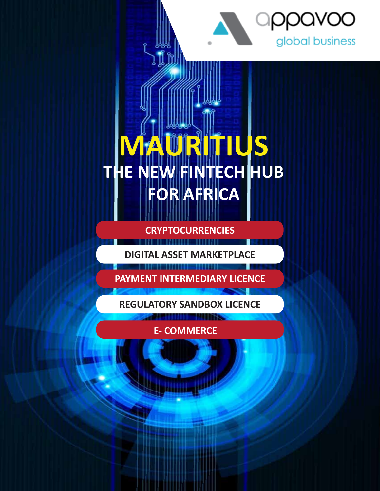

# **MAURITIUS THE NEW FINTECH HUB FOR AFRICA**

**CRYPTOCURRENCIES**

**DIGITAL ASSET MARKETPLACE**

**PAYMENT INTERMEDIARY LICENCE**

**REGULATORY SANDBOX LICENCE**

<u>a munis</u>

**E- COMMERCE**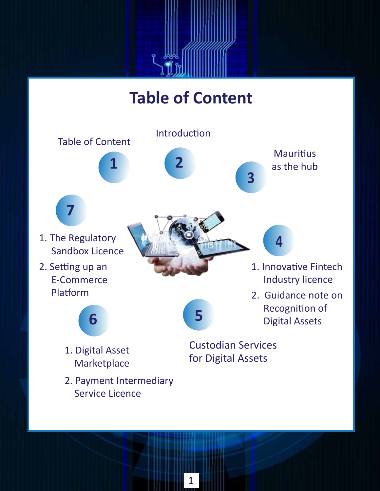# **Table of Content**

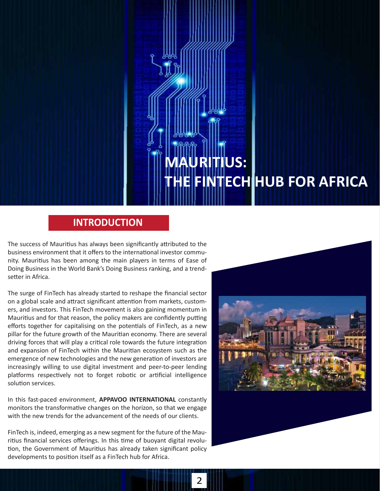# **MAURITIUS: HE FINTECH HUB FOR AFRICA**

### **INTRODUCTION**

The success of Mauritius has always been significantly attributed to the business environment that it offers to the international investor community. Mauritius has been among the main players in terms of Ease of Doing Business in the World Bank's Doing Business ranking, and a trendsetter in Africa.

The surge of FinTech has already started to reshape the financial sector on a global scale and attract significant attention from markets, customers, and investors. This FinTech movement is also gaining momentum in Mauritius and for that reason, the policy makers are confidently putting efforts together for capitalising on the potentials of FinTech, as a new pillar for the future growth of the Mauritian economy. There are several driving forces that will play a critical role towards the future integration and expansion of FinTech within the Mauritian ecosystem such as the emergence of new technologies and the new generation of investors are increasingly willing to use digital investment and peer-to-peer lending platforms respectively not to forget robotic or artificial intelligence solution services.

In this fast-paced environment, **APPAVOO INTERNATIONAL** constantly monitors the transformative changes on the horizon, so that we engage with the new trends for the advancement of the needs of our clients.

FinTech is, indeed, emerging as a new segment for the future of the Mauritius financial services offerings. In this time of buoyant digital revolution, the Government of Mauritius has already taken significant policy developments to position itself as a FinTech hub for Africa.

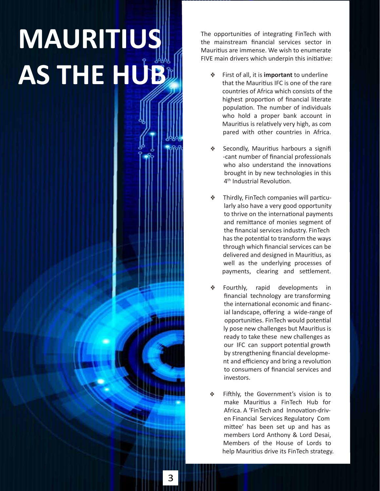# **MAURITIUS** AS THE HUBB

The opportunities of integrating FinTech with the mainstream financial services sector in Mauritius are immense. We wish to enumerate FIVE main drivers which underpin this initiative:

- First of all, it is **important** to underline that the Mauritius IFC is one of the rare countries of Africa which consists of the highest proportion of financial literate population. The number of individuals who hold a proper bank account in Mauritius is relatively very high, as com pared with other countries in Africa.
- Secondly, Mauritius harbours a signifi -cant number of financial professionals who also understand the innovations brought in by new technologies in this 4<sup>th</sup> Industrial Revolution.
- Thirdly, FinTech companies will particu larly also have a very good opportunity to thrive on the international payments and remittance of monies segment of the financial services industry. FinTech has the potential to transform the ways through which financial services can be delivered and designed in Mauritius, as well as the underlying processes of payments, clearing and settlement.
- Fourthly, rapid developments in financial technology are transforming the international economic and financ ial landscape, offering a wide-range of opportunities. FinTech would potential ly pose new challenges but Mauritius is ready to take these new challenges as our IFC can support potential growth by strengthening financial developme nt and efficiency and bring a revolution to consumers of financial services and investors.
- Fifthly, the Government's vision is to make Mauritius a FinTech Hub for Africa. A 'FinTech and Innovation-driv en Financial Services Regulatory Com mittee' has been set up and has as members Lord Anthony & Lord Desai, Members of the House of Lords to help Mauritius drive its FinTech strategy.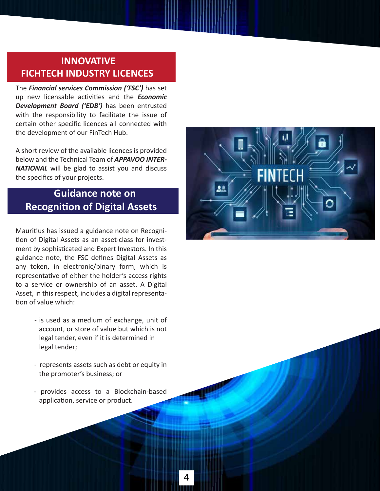# **INNOVATIVE FICHTECH INDUSTRY LICENCES**

The *Financial services Commission ('FSC')* has set up new licensable activities and the **Economic** *Development Board ('EDB')* has been entrusted with the responsibility to facilitate the issue of certain other specific licences all connected with the development of our FinTech Hub.

A short review of the available licences is provided below and the Technical Team of *APPAVOO INTER-NATIONAL* will be glad to assist you and discuss the specifics of your projects.

# **Guidance note on Recogni�on of Digital Assets**

Mauritius has issued a guidance note on Recognition of Digital Assets as an asset-class for investment by sophisticated and Expert Investors. In this guidance note, the FSC defines Digital Assets as any token, in electronic/binary form, which is representative of either the holder's access rights to a service or ownership of an asset. A Digital Asset, in this respect, includes a digital representa tion of value which:

- is used as a medium of exchange, unit of account, or store of value but which is not legal tender, even if it is determined in legal tender;
- represents assets such as debt or equity in the promoter's business; or
- provides access to a Blockchain-based application, service or product.

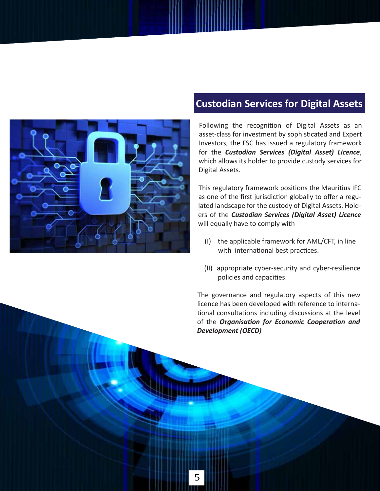

# **Custodian Services for Digital Assets**

Following the recognition of Digital Assets as an asset-class for investment by sophisticated and Expert Investors, the FSC has issued a regulatory framework for the *Custodian Services (Digital Asset) Licence*, which allows its holder to provide custody services for Digital Assets.

This regulatory framework positions the Mauritius IFC as one of the first jurisdiction globally to offer a regulated landscape for the custody of Digital Assets. Holders of the *Custodian Services (Digital Asset) Licence* will equally have to comply with

- (I) the applicable framework for AML/CFT, in line with international best practices.
- (II) appropriate cyber-security and cyber-resilience policies and capacities.

The governance and regulatory aspects of this new licence has been developed with reference to interna tional consultations including discussions at the level of the *Organisation for Economic Cooperation and Development (OECD)*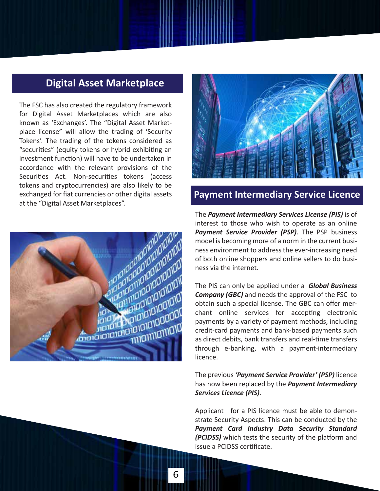## **Digital Asset Marketplace**

The FSC has also created the regulatory framework for Digital Asset Marketplaces which are also known as 'Exchanges'. The "Digital Asset Marketplace license" will allow the trading of 'Security Tokens'. The trading of the tokens considered as "securities" (equity tokens or hybrid exhibiting an investment function) will have to be undertaken in accordance with the relevant provisions of the Securities Act. Non-securities tokens (access tokens and cryptocurrencies) are also likely to be exchanged for fiat currencies or other digital assets at the "Digital Asset Marketplaces".





## **Payment Intermediary Service Licence**

The *Payment Intermediary Services License (PIS)* is of interest to those who wish to operate as an online *Payment Service Provider (PSP)*. The PSP business model is becoming more of a norm in the current business environment to address the ever-increasing need of both online shoppers and online sellers to do business via the internet.

The PIS can only be applied under a *Global Business Company (GBC)* and needs the approval of the FSC to obtain such a special license. The GBC can offer merchant online services for accepting electronic payments by a variety of payment methods, including credit-card payments and bank-based payments such as direct debits, bank transfers and real-time transfers through e-banking, with a payment-intermediary licence.

The previous *'Payment Service Provider' (PSP)* licence has now been replaced by the *Payment Intermediary Services Licence (PIS)*.

Applicant for a PIS licence must be able to demonstrate Security Aspects. This can be conducted by the *Payment Card Industry Data Security Standard (PCIDSS)* which tests the security of the platform and issue a PCIDSS cer�ficate.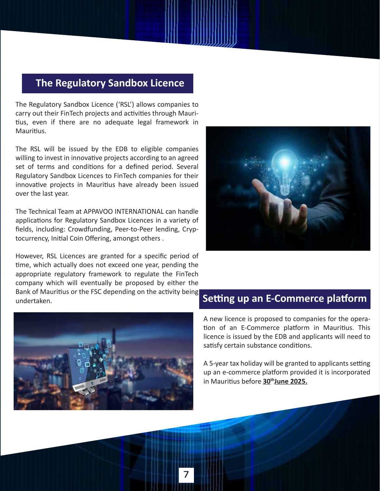# **The Regulatory Sandbox Licence**

The Regulatory Sandbox Licence ('RSL') allows companies to carry out their FinTech projects and activities through Mauritius, even if there are no adequate legal framework in Mauritius.

The RSL will be issued by the EDB to eligible companies willing to invest in innovative projects according to an agreed set of terms and conditions for a defined period. Several Regulatory Sandbox Licences to FinTech companies for their innovative projects in Mauritius have already been issued over the last year.

The Technical Team at APPAVOO INTERNATIONAL can handle applications for Regulatory Sandbox Licences in a variety of fields, including: Crowdfunding, Peer-to-Peer lending, Cryptocurrency, Initial Coin Offering, amongst others.

However, RSL Licences are granted for a specific period of �me, which actually does not exceed one year, pending the appropriate regulatory framework to regulate the FinTech company which will eventually be proposed by either the Bank of Mauritius or the FSC depending on the activity being undertaken.





A new licence is proposed to companies for the opera tion of an E-Commerce platform in Mauritius. This licence is issued by the EDB and applicants will need to satisfy certain substance conditions.

A 5-year tax holiday will be granted to applicants setting up an e-commerce platform provided it is incorporated in Mauri�us before **30thJune 2025.**